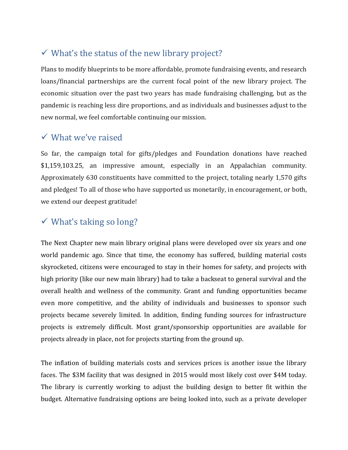## $\checkmark$  What's the status of the new library project?

Plans to modify blueprints to be more affordable, promote fundraising events, and research loans/financial partnerships are the current focal point of the new library project. The economic situation over the past two years has made fundraising challenging, but as the pandemic is reaching less dire proportions, and as individuals and businesses adjust to the new normal, we feel comfortable continuing our mission.

#### What we've raised

So far, the campaign total for gifts/pledges and Foundation donations have reached \$1,159,103.25, an impressive amount, especially in an Appalachian community. Approximately 630 constituents have committed to the project, totaling nearly 1,570 gifts and pledges! To all of those who have supported us monetarily, in encouragement, or both, we extend our deepest gratitude!

### $\checkmark$  What's taking so long?

The Next Chapter new main library original plans were developed over six years and one world pandemic ago. Since that time, the economy has suffered, building material costs skyrocketed, citizens were encouraged to stay in their homes for safety, and projects with high priority (like our new main library) had to take a backseat to general survival and the overall health and wellness of the community. Grant and funding opportunities became even more competitive, and the ability of individuals and businesses to sponsor such projects became severely limited. In addition, finding funding sources for infrastructure projects is extremely difficult. Most grant/sponsorship opportunities are available for projects already in place, not for projects starting from the ground up.

The inflation of building materials costs and services prices is another issue the library faces. The \$3M facility that was designed in 2015 would most likely cost over \$4M today. The library is currently working to adjust the building design to better fit within the budget. Alternative fundraising options are being looked into, such as a private developer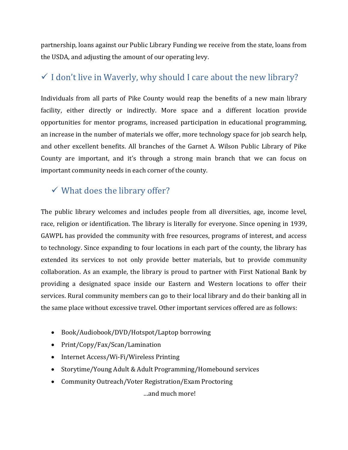partnership, loans against our Public Library Funding we receive from the state, loans from the USDA, and adjusting the amount of our operating levy.

# $\checkmark$  I don't live in Waverly, why should I care about the new library?

Individuals from all parts of Pike County would reap the benefits of a new main library facility, either directly or indirectly. More space and a different location provide opportunities for mentor programs, increased participation in educational programming, an increase in the number of materials we offer, more technology space for job search help, and other excellent benefits. All branches of the Garnet A. Wilson Public Library of Pike County are important, and it's through a strong main branch that we can focus on important community needs in each corner of the county.

### $\checkmark$  What does the library offer?

The public library welcomes and includes people from all diversities, age, income level, race, religion or identification. The library is literally for everyone. Since opening in 1939, GAWPL has provided the community with free resources, programs of interest, and access to technology. Since expanding to four locations in each part of the county, the library has extended its services to not only provide better materials, but to provide community collaboration. As an example, the library is proud to partner with First National Bank by providing a designated space inside our Eastern and Western locations to offer their services. Rural community members can go to their local library and do their banking all in the same place without excessive travel. Other important services offered are as follows:

- Book/Audiobook/DVD/Hotspot/Laptop borrowing
- Print/Copy/Fax/Scan/Lamination
- Internet Access/Wi-Fi/Wireless Printing
- Storytime/Young Adult & Adult Programming/Homebound services
- Community Outreach/Voter Registration/Exam Proctoring

…and much more!